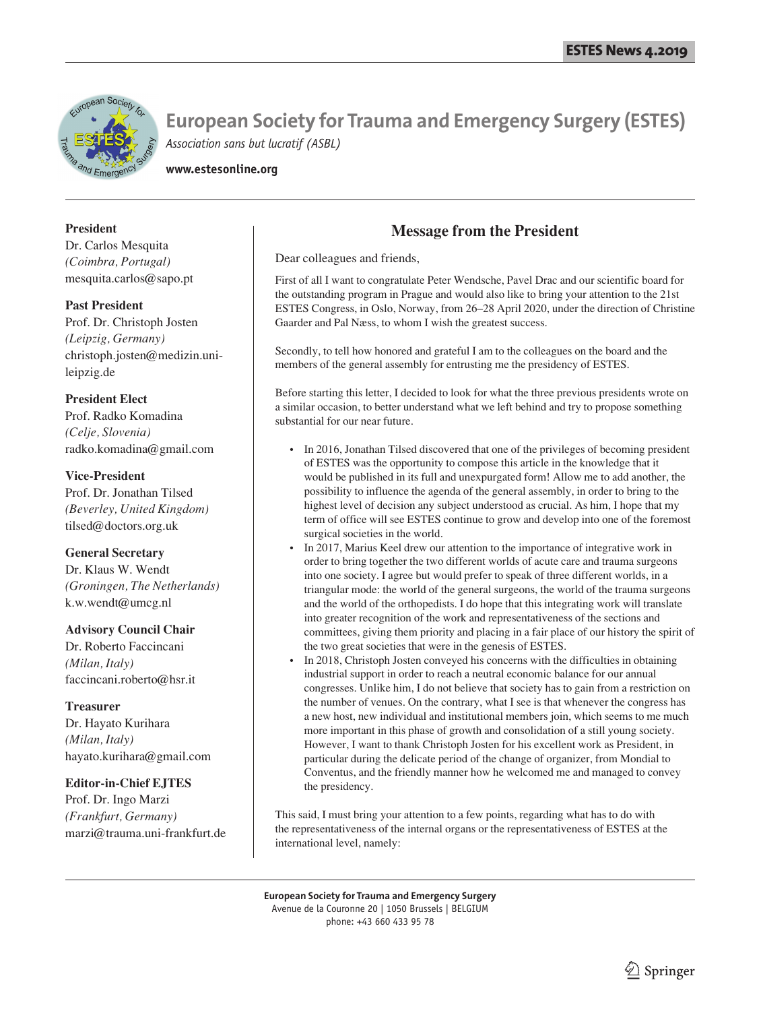

**www.estesonline.org**

### **President**

Dr. Carlos Mesquita *(Coimbra, Portugal)* mesquita.carlos@sapo.pt

#### **Past President**

Prof. Dr. Christoph Josten *(Leipzig, Germany)* christoph.josten@medizin.unileipzig.de

### **President Elect**

Prof. Radko Komadina *(Celje, Slovenia)* radko.komadina@gmail.com

#### **Vice-President**

Prof. Dr. Jonathan Tilsed *(Beverley, United Kingdom)* tilsed@doctors.org.uk

#### **General Secretary**

Dr. Klaus W. Wendt *(Groningen, The Netherlands)* k.w.wendt@umcg.nl

#### **Advisory Council Chair**

Dr. Roberto Faccincani *(Milan, Italy)* faccincani.roberto@hsr.it

#### **Treasurer**

Dr. Hayato Kurihara *(Milan, Italy)* hayato.kurihara@gmail.com

#### **Editor-in-Chief EJTES**

Prof. Dr. Ingo Marzi *(Frankfurt, Germany)* marzi@trauma.uni-frankfurt.de

### **Message from the President**

Dear colleagues and friends,

First of all I want to congratulate Peter Wendsche, Pavel Drac and our scientific board for the outstanding program in Prague and would also like to bring your attention to the 21st ESTES Congress, in Oslo, Norway, from 26–28 April 2020, under the direction of Christine Gaarder and Pal Næss, to whom I wish the greatest success.

Secondly, to tell how honored and grateful I am to the colleagues on the board and the members of the general assembly for entrusting me the presidency of ESTES.

Before starting this letter, I decided to look for what the three previous presidents wrote on a similar occasion, to better understand what we left behind and try to propose something substantial for our near future.

- In 2016, Jonathan Tilsed discovered that one of the privileges of becoming president of ESTES was the opportunity to compose this article in the knowledge that it would be published in its full and unexpurgated form! Allow me to add another, the possibility to influence the agenda of the general assembly, in order to bring to the highest level of decision any subject understood as crucial. As him, I hope that my term of office will see ESTES continue to grow and develop into one of the foremost surgical societies in the world.
- In 2017, Marius Keel drew our attention to the importance of integrative work in order to bring together the two different worlds of acute care and trauma surgeons into one society. I agree but would prefer to speak of three different worlds, in a triangular mode: the world of the general surgeons, the world of the trauma surgeons and the world of the orthopedists. I do hope that this integrating work will translate into greater recognition of the work and representativeness of the sections and committees, giving them priority and placing in a fair place of our history the spirit of the two great societies that were in the genesis of ESTES.
- In 2018, Christoph Josten conveyed his concerns with the difficulties in obtaining industrial support in order to reach a neutral economic balance for our annual congresses. Unlike him, I do not believe that society has to gain from a restriction on the number of venues. On the contrary, what I see is that whenever the congress has a new host, new individual and institutional members join, which seems to me much more important in this phase of growth and consolidation of a still young society. However, I want to thank Christoph Josten for his excellent work as President, in particular during the delicate period of the change of organizer, from Mondial to Conventus, and the friendly manner how he welcomed me and managed to convey the presidency.

This said, I must bring your attention to a few points, regarding what has to do with the representativeness of the internal organs or the representativeness of ESTES at the international level, namely: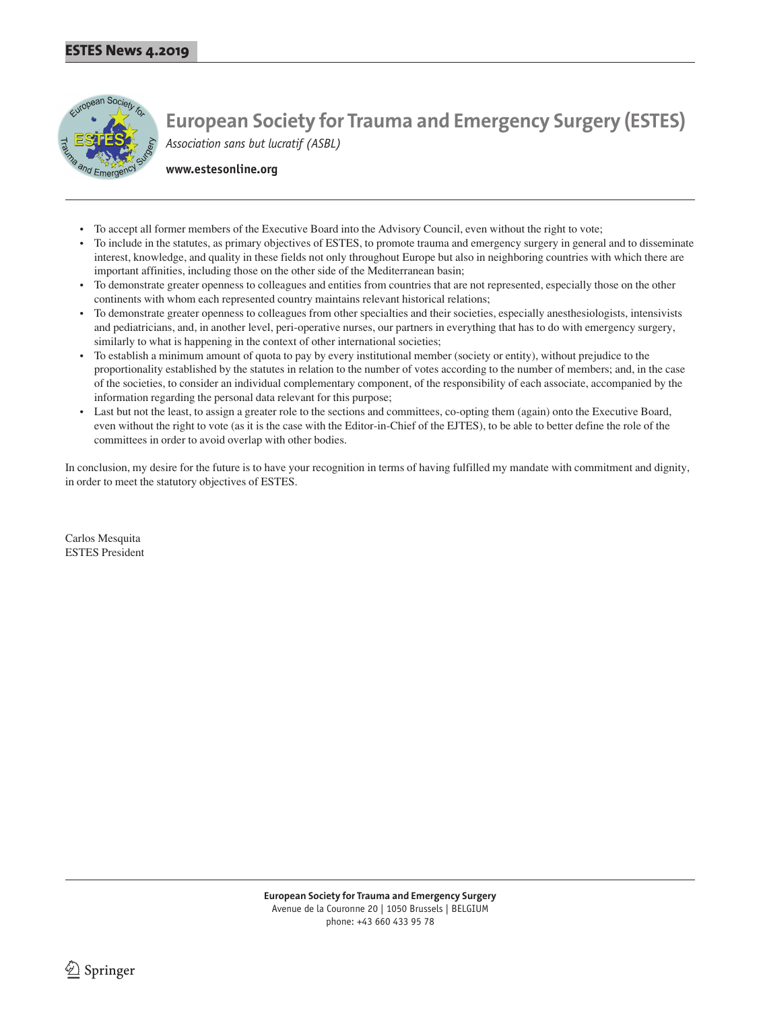

**www.estesonline.org**

- To accept all former members of the Executive Board into the Advisory Council, even without the right to vote;
- To include in the statutes, as primary objectives of ESTES, to promote trauma and emergency surgery in general and to disseminate interest, knowledge, and quality in these fields not only throughout Europe but also in neighboring countries with which there are important affinities, including those on the other side of the Mediterranean basin;
- To demonstrate greater openness to colleagues and entities from countries that are not represented, especially those on the other continents with whom each represented country maintains relevant historical relations;
- To demonstrate greater openness to colleagues from other specialties and their societies, especially anesthesiologists, intensivists and pediatricians, and, in another level, peri-operative nurses, our partners in everything that has to do with emergency surgery, similarly to what is happening in the context of other international societies;
- To establish a minimum amount of quota to pay by every institutional member (society or entity), without prejudice to the proportionality established by the statutes in relation to the number of votes according to the number of members; and, in the case of the societies, to consider an individual complementary component, of the responsibility of each associate, accompanied by the information regarding the personal data relevant for this purpose;
- Last but not the least, to assign a greater role to the sections and committees, co-opting them (again) onto the Executive Board, even without the right to vote (as it is the case with the Editor-in-Chief of the EJTES), to be able to better define the role of the committees in order to avoid overlap with other bodies.

In conclusion, my desire for the future is to have your recognition in terms of having fulfilled my mandate with commitment and dignity, in order to meet the statutory objectives of ESTES.

Carlos Mesquita ESTES President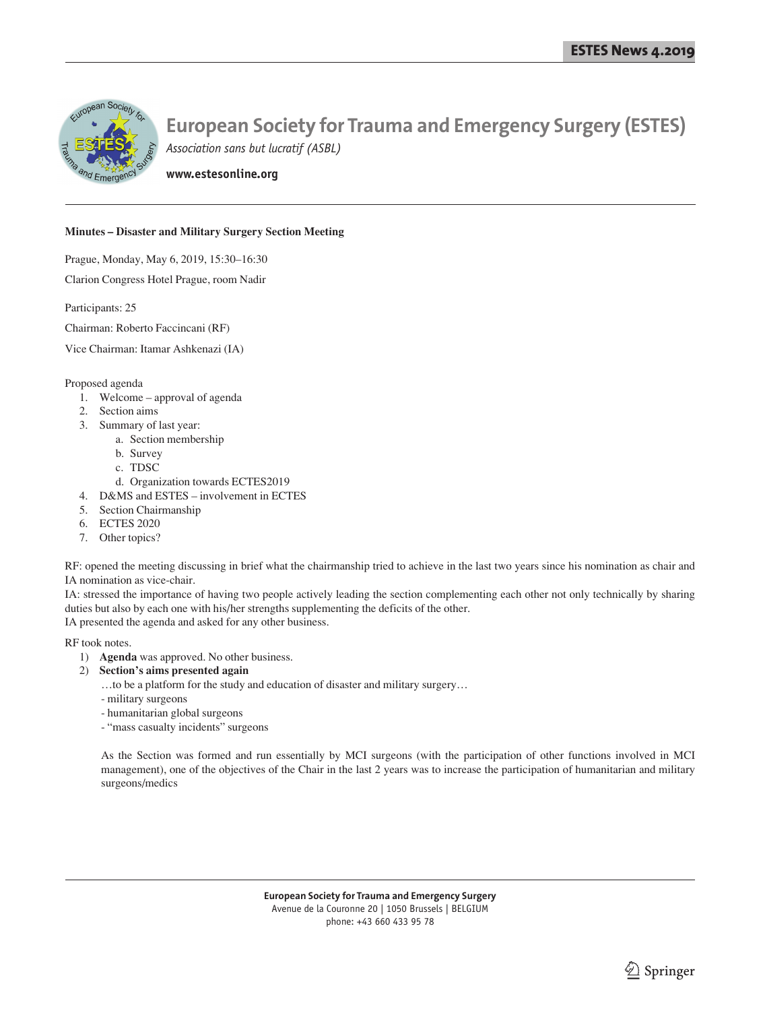

# **European Society for Trauma and Emergency Surgery (ESTES)**

*Association sans but lucratif (ASBL)*

**www.estesonline.org**

#### **Minutes – Disaster and Military Surgery Section Meeting**

Prague, Monday, May 6, 2019, 15:30–16:30

Clarion Congress Hotel Prague, room Nadir

Participants: 25

Chairman: Roberto Faccincani (RF)

Vice Chairman: Itamar Ashkenazi (IA)

Proposed agenda

- 1. Welcome approval of agenda
- 2. Section aims
- 3. Summary of last year:
	- a. Section membership
	- b. Survey
	- c. TDSC
	- d. Organization towards ECTES2019
- 4. D&MS and ESTES involvement in ECTES
- 5. Section Chairmanship
- 6. ECTES 2020
- 7. Other topics?

RF: opened the meeting discussing in brief what the chairmanship tried to achieve in the last two years since his nomination as chair and IA nomination as vice-chair.

IA: stressed the importance of having two people actively leading the section complementing each other not only technically by sharing duties but also by each one with his/her strengths supplementing the deficits of the other. IA presented the agenda and asked for any other business.

RF took notes.

- 1) **Agenda** was approved. No other business.
- 2) **Section's aims presented again**
	- …to be a platform for the study and education of disaster and military surgery…
	- military surgeons
	- humanitarian global surgeons
	- "mass casualty incidents" surgeons

As the Section was formed and run essentially by MCI surgeons (with the participation of other functions involved in MCI management), one of the objectives of the Chair in the last 2 years was to increase the participation of humanitarian and military surgeons/medics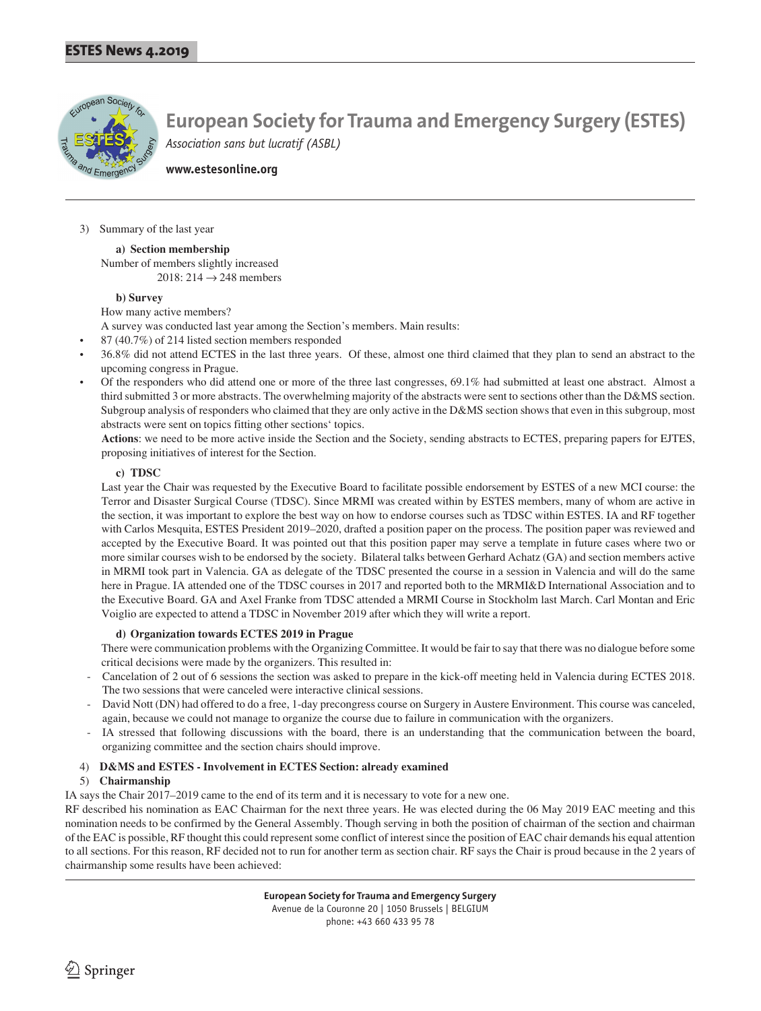

**www.estesonline.org**

3) Summary of the last year

**a) Section membership** Number of members slightly increased 2018: 214  $\rightarrow$  248 members

#### **b) Survey**

How many active members?

A survey was conducted last year among the Section's members. Main results:

- 87 (40.7%) of 214 listed section members responded
- 36.8% did not attend ECTES in the last three years. Of these, almost one third claimed that they plan to send an abstract to the upcoming congress in Prague.
- Of the responders who did attend one or more of the three last congresses, 69.1% had submitted at least one abstract. Almost a third submitted 3 or more abstracts. The overwhelming majority of the abstracts were sent to sections other than the D&MS section. Subgroup analysis of responders who claimed that they are only active in the D&MS section shows that even in this subgroup, most abstracts were sent on topics fitting other sections' topics.

**Actions**: we need to be more active inside the Section and the Society, sending abstracts to ECTES, preparing papers for EJTES, proposing initiatives of interest for the Section.

#### **c) TDSC**

Last year the Chair was requested by the Executive Board to facilitate possible endorsement by ESTES of a new MCI course: the Terror and Disaster Surgical Course (TDSC). Since MRMI was created within by ESTES members, many of whom are active in the section, it was important to explore the best way on how to endorse courses such as TDSC within ESTES. IA and RF together with Carlos Mesquita, ESTES President 2019–2020, drafted a position paper on the process. The position paper was reviewed and accepted by the Executive Board. It was pointed out that this position paper may serve a template in future cases where two or more similar courses wish to be endorsed by the society. Bilateral talks between Gerhard Achatz (GA) and section members active in MRMI took part in Valencia. GA as delegate of the TDSC presented the course in a session in Valencia and will do the same here in Prague. IA attended one of the TDSC courses in 2017 and reported both to the MRMI&D International Association and to the Executive Board. GA and Axel Franke from TDSC attended a MRMI Course in Stockholm last March. Carl Montan and Eric Voiglio are expected to attend a TDSC in November 2019 after which they will write a report.

#### **d) Organization towards ECTES 2019 in Prague**

There were communication problems with the Organizing Committee. It would be fair to say that there was no dialogue before some critical decisions were made by the organizers. This resulted in:

- Cancelation of 2 out of 6 sessions the section was asked to prepare in the kick-off meeting held in Valencia during ECTES 2018. The two sessions that were canceled were interactive clinical sessions.
- David Nott (DN) had offered to do a free, 1-day precongress course on Surgery in Austere Environment. This course was canceled, again, because we could not manage to organize the course due to failure in communication with the organizers.
- IA stressed that following discussions with the board, there is an understanding that the communication between the board, organizing committee and the section chairs should improve.

#### 4) **D&MS and ESTES - Involvement in ECTES Section: already examined**

#### 5) **Chairmanship**

IA says the Chair 2017–2019 came to the end of its term and it is necessary to vote for a new one.

RF described his nomination as EAC Chairman for the next three years. He was elected during the 06 May 2019 EAC meeting and this nomination needs to be confirmed by the General Assembly. Though serving in both the position of chairman of the section and chairman of the EAC is possible, RF thought this could represent some conflict of interest since the position of EAC chair demands his equal attention to all sections. For this reason, RF decided not to run for another term as section chair. RF says the Chair is proud because in the 2 years of chairmanship some results have been achieved:

Avenue de la Couronne 20 | 1050 Brussels | BELGIUM phone: +43 660 433 95 78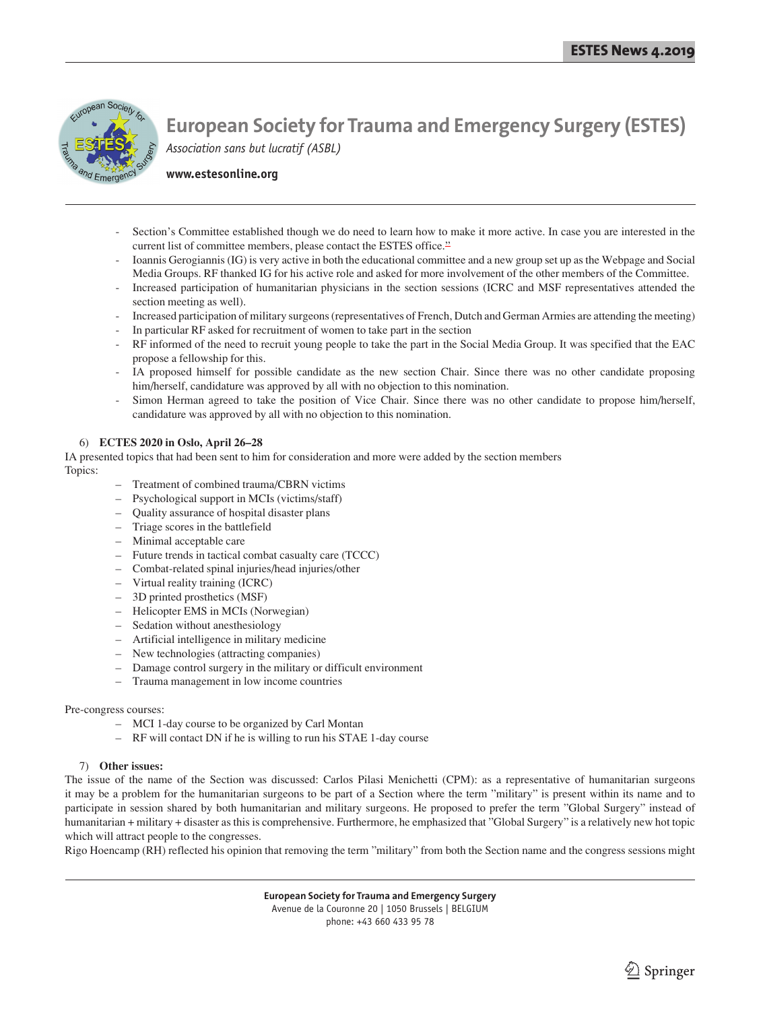

**www.estesonline.org**

- Section's Committee established though we do need to learn how to make it more active. In case you are interested in the current list of committee members, please contact the ESTES office.<sup>22</sup>
- Ioannis Gerogiannis (IG) is very active in both the educational committee and a new group set up as the Webpage and Social Media Groups. RF thanked IG for his active role and asked for more involvement of the other members of the Committee.
- Increased participation of humanitarian physicians in the section sessions (ICRC and MSF representatives attended the section meeting as well).
- Increased participation of military surgeons (representatives of French, Dutch and German Armies are attending the meeting)
- In particular RF asked for recruitment of women to take part in the section
- RF informed of the need to recruit young people to take the part in the Social Media Group. It was specified that the EAC propose a fellowship for this.
- IA proposed himself for possible candidate as the new section Chair. Since there was no other candidate proposing him/herself, candidature was approved by all with no objection to this nomination.
- Simon Herman agreed to take the position of Vice Chair. Since there was no other candidate to propose him/herself, candidature was approved by all with no objection to this nomination.

#### 6) **ECTES 2020 in Oslo, April 26–28**

IA presented topics that had been sent to him for consideration and more were added by the section members Topics:

- Treatment of combined trauma/CBRN victims
- Psychological support in MCIs (victims/staff)
- Quality assurance of hospital disaster plans
- Triage scores in the battlefield
- Minimal acceptable care
- Future trends in tactical combat casualty care (TCCC)
- Combat-related spinal injuries/head injuries/other
- Virtual reality training (ICRC)
- 3D printed prosthetics (MSF)
- Helicopter EMS in MCIs (Norwegian)
- Sedation without anesthesiology
- Artificial intelligence in military medicine
- New technologies (attracting companies)
- Damage control surgery in the military or difficult environment
- Trauma management in low income countries

#### Pre-congress courses:

- MCI 1-day course to be organized by Carl Montan
- RF will contact DN if he is willing to run his STAE 1-day course

#### 7) **Other issues:**

The issue of the name of the Section was discussed: Carlos Pilasi Menichetti (CPM): as a representative of humanitarian surgeons it may be a problem for the humanitarian surgeons to be part of a Section where the term "military" is present within its name and to participate in session shared by both humanitarian and military surgeons. He proposed to prefer the term "Global Surgery" instead of humanitarian + military + disaster as this is comprehensive. Furthermore, he emphasized that "Global Surgery" is a relatively new hot topic which will attract people to the congresses.

Rigo Hoencamp (RH) reflected his opinion that removing the term "military" from both the Section name and the congress sessions might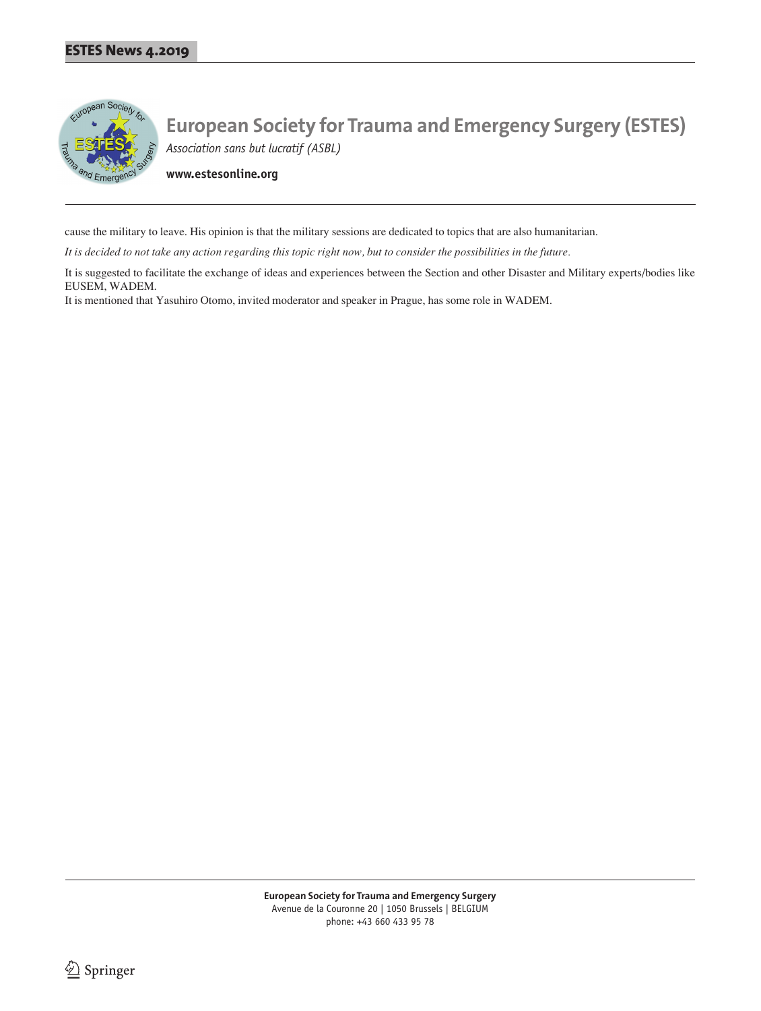

**www.estesonline.org**

cause the military to leave. His opinion is that the military sessions are dedicated to topics that are also humanitarian.

*It is decided to not take any action regarding this topic right now, but to consider the possibilities in the future.*

It is suggested to facilitate the exchange of ideas and experiences between the Section and other Disaster and Military experts/bodies like EUSEM, WADEM.

It is mentioned that Yasuhiro Otomo, invited moderator and speaker in Prague, has some role in WADEM.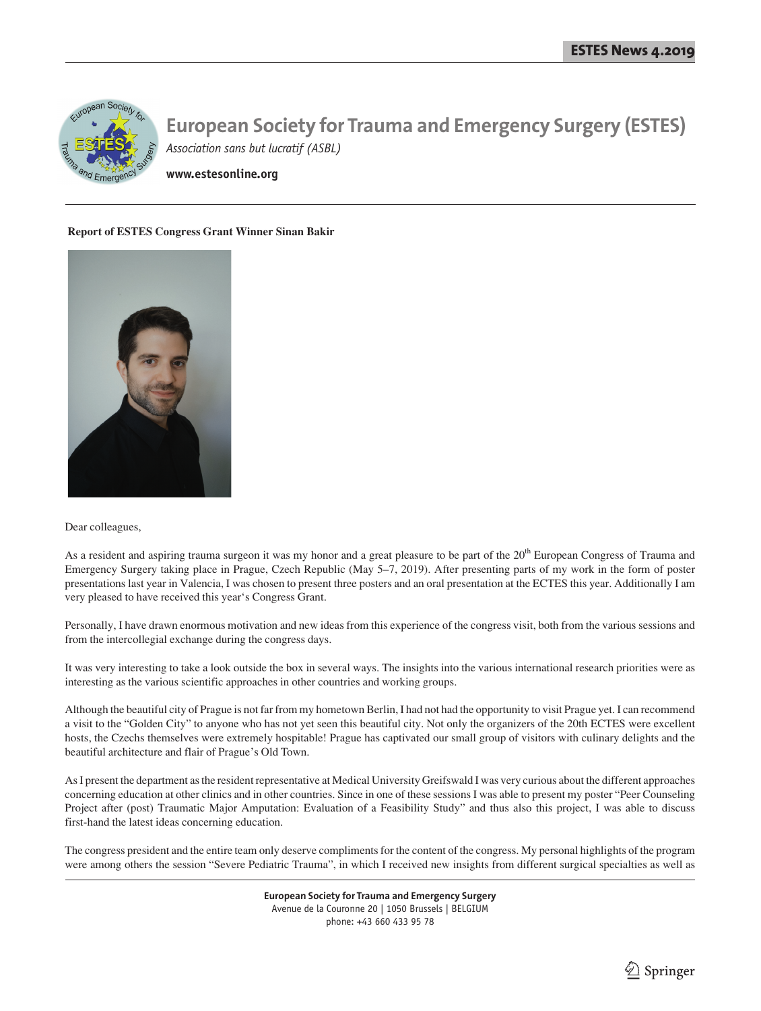

**www.estesonline.org**

#### **Report of ESTES Congress Grant Winner Sinan Bakir**



#### Dear colleagues,

As a resident and aspiring trauma surgeon it was my honor and a great pleasure to be part of the 20<sup>th</sup> European Congress of Trauma and Emergency Surgery taking place in Prague, Czech Republic (May 5–7, 2019). After presenting parts of my work in the form of poster presentations last year in Valencia, I was chosen to present three posters and an oral presentation at the ECTES this year. Additionally I am very pleased to have received this year's Congress Grant.

Personally, I have drawn enormous motivation and new ideas from this experience of the congress visit, both from the various sessions and from the intercollegial exchange during the congress days.

It was very interesting to take a look outside the box in several ways. The insights into the various international research priorities were as interesting as the various scientific approaches in other countries and working groups.

Although the beautiful city of Prague is not far from my hometown Berlin, I had not had the opportunity to visit Prague yet. I can recommend a visit to the "Golden City" to anyone who has not yet seen this beautiful city. Not only the organizers of the 20th ECTES were excellent hosts, the Czechs themselves were extremely hospitable! Prague has captivated our small group of visitors with culinary delights and the beautiful architecture and flair of Prague's Old Town.

As I present the department as the resident representative at Medical University Greifswald I was very curious about the different approaches concerning education at other clinics and in other countries. Since in one of these sessions I was able to present my poster "Peer Counseling Project after (post) Traumatic Major Amputation: Evaluation of a Feasibility Study" and thus also this project, I was able to discuss first-hand the latest ideas concerning education.

The congress president and the entire team only deserve compliments for the content of the congress. My personal highlights of the program were among others the session "Severe Pediatric Trauma", in which I received new insights from different surgical specialties as well as

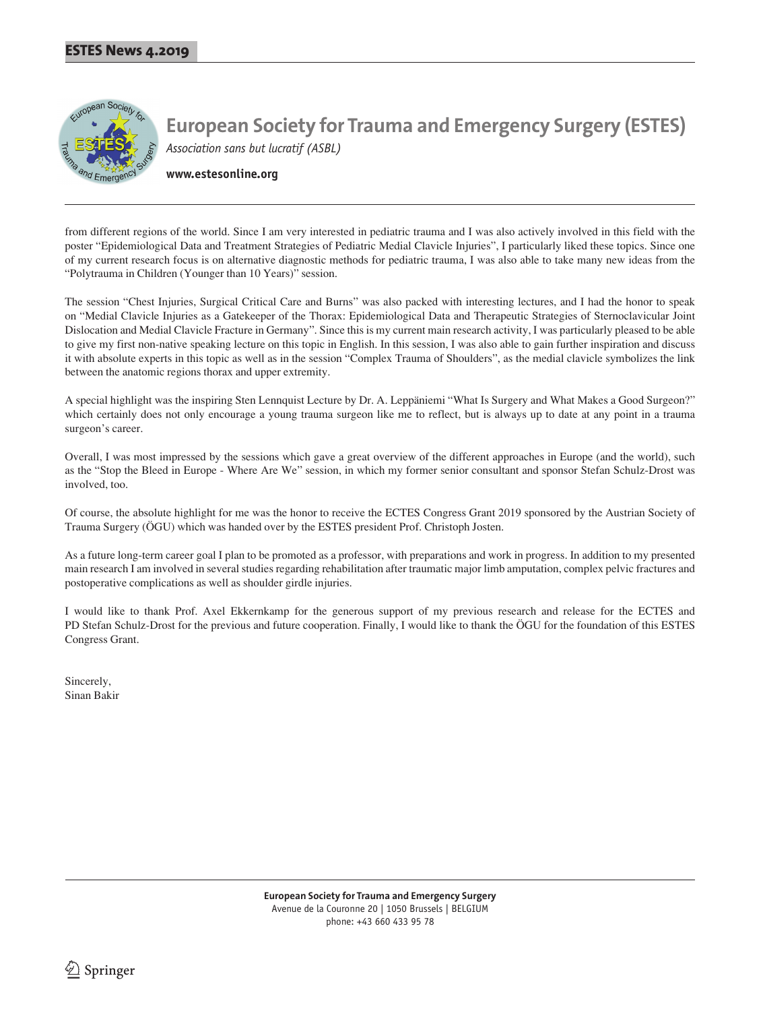

**www.estesonline.org**

from different regions of the world. Since I am very interested in pediatric trauma and I was also actively involved in this field with the poster "Epidemiological Data and Treatment Strategies of Pediatric Medial Clavicle Injuries", I particularly liked these topics. Since one of my current research focus is on alternative diagnostic methods for pediatric trauma, I was also able to take many new ideas from the "Polytrauma in Children (Younger than 10 Years)" session.

The session "Chest Injuries, Surgical Critical Care and Burns" was also packed with interesting lectures, and I had the honor to speak on "Medial Clavicle Injuries as a Gatekeeper of the Thorax: Epidemiological Data and Therapeutic Strategies of Sternoclavicular Joint Dislocation and Medial Clavicle Fracture in Germany". Since this is my current main research activity, I was particularly pleased to be able to give my first non-native speaking lecture on this topic in English. In this session, I was also able to gain further inspiration and discuss it with absolute experts in this topic as well as in the session "Complex Trauma of Shoulders", as the medial clavicle symbolizes the link between the anatomic regions thorax and upper extremity.

A special highlight was the inspiring Sten Lennquist Lecture by Dr. A. Leppäniemi "What Is Surgery and What Makes a Good Surgeon?" which certainly does not only encourage a young trauma surgeon like me to reflect, but is always up to date at any point in a trauma surgeon's career.

Overall, I was most impressed by the sessions which gave a great overview of the different approaches in Europe (and the world), such as the "Stop the Bleed in Europe - Where Are We" session, in which my former senior consultant and sponsor Stefan Schulz-Drost was involved, too.

Of course, the absolute highlight for me was the honor to receive the ECTES Congress Grant 2019 sponsored by the Austrian Society of Trauma Surgery (ÖGU) which was handed over by the ESTES president Prof. Christoph Josten.

As a future long-term career goal I plan to be promoted as a professor, with preparations and work in progress. In addition to my presented main research I am involved in several studies regarding rehabilitation after traumatic major limb amputation, complex pelvic fractures and postoperative complications as well as shoulder girdle injuries.

I would like to thank Prof. Axel Ekkernkamp for the generous support of my previous research and release for the ECTES and PD Stefan Schulz-Drost for the previous and future cooperation. Finally, I would like to thank the ÖGU for the foundation of this ESTES Congress Grant.

Sincerely, Sinan Bakir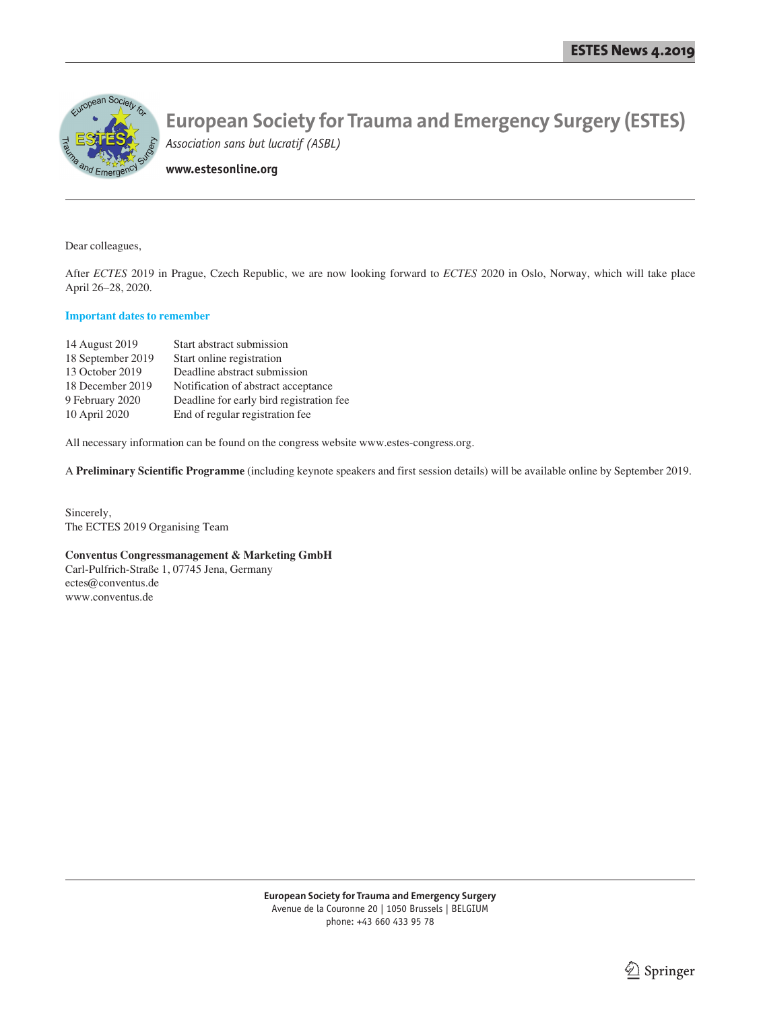

**www.estesonline.org**

Dear colleagues,

After *ECTES* 2019 in Prague, Czech Republic, we are now looking forward to *ECTES* 2020 in Oslo, Norway, which will take place April 26–28, 2020.

#### **Important dates to remember**

| 14 August 2019    | Start abstract submission                |
|-------------------|------------------------------------------|
| 18 September 2019 | Start online registration                |
| 13 October 2019   | Deadline abstract submission             |
| 18 December 2019  | Notification of abstract acceptance      |
| 9 February 2020   | Deadline for early bird registration fee |
| 10 April 2020     | End of regular registration fee          |

All necessary information can be found on the congress website www.estes-congress.org.

A **Preliminary Scientific Programme** (including keynote speakers and first session details) will be available online by September 2019.

Sincerely, The ECTES 2019 Organising Team

#### **Conventus Congressmanagement & Marketing GmbH**

Carl-Pulfrich-Straße 1, 07745 Jena, Germany ectes@conventus.de www.conventus.de